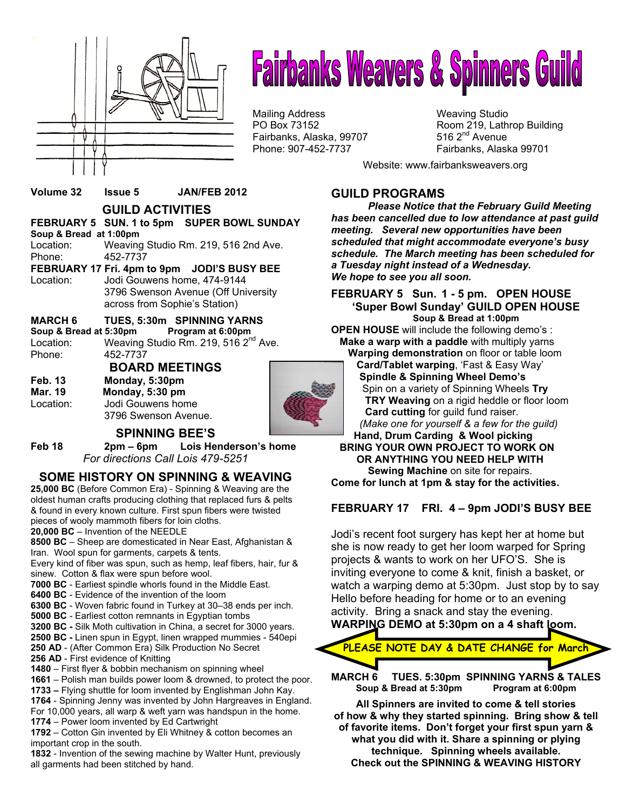

# **Fairbanks Weavers & Spinners Guild**

Mailing Address Mail in the Weaving Studio<br>
Mailing Address Manus (Weaving Studio PO Box 73152 Fairbanks, Alaska, 99707

Room 219, Lathrop Building 516  $2<sup>nd</sup>$  Avenue Phone: 907-452-7737 Fairbanks, Alaska 99701

Website: www.fairbanksweavers.org

#### **Volume 32 Issue 5 JAN/FEB 2012**

 **GUILD ACTIVITIES** 

#### **FEBRUARY 5 SUN. 1 to 5pm SUPER BOWL SUNDAY Soup & Bread at 1:00pm**

Location: Weaving Studio Rm. 219, 516 2nd Ave. Phone: 452-7737 **FEBRUARY 17 Fri. 4pm to 9pm JODI'S BUSY BEE**  Location: Jodi Gouwens home, 474-9144 3796 Swenson Avenue (Off University

### across from Sophie's Station)

**MARCH 6 TUES, 5:30m SPINNING YARNS**  Soup & Bread at 5:30pm

Location: Weaving Studio Rm. 219, 516 2<sup>nd</sup> Ave. Phone: 452-7737

**BOARD MEETINGS Feb. 13 Monday, 5:30pm Mar. 19 Monday, 5:30 pm**  Location: Jodi Gouwens home 3796 Swenson Avenue.



#### **SPINNING BEE'S**

**Feb 18 2pm – 6pm Lois Henderson's home**  *For directions Call Lois 479-5251*

#### **SOME HISTORY ON SPINNING & WEAVING**

**25,000 BC** (Before Common Era) - Spinning & Weaving are the oldest human crafts producing clothing that replaced furs & pelts & found in every known culture. First spun fibers were twisted pieces of wooly mammoth fibers for loin cloths.

#### **20,000 BC** – Invention of the NEEDLE

**8500 BC** – Sheep are domesticated in Near East, Afghanistan & Iran. Wool spun for garments, carpets & tents.

Every kind of fiber was spun, such as hemp, leaf fibers, hair, fur & sinew. Cotton & flax were spun before wool.

**7000 BC** - Earliest spindle whorls found in the Middle East.

- **6400 BC** Evidence of the invention of the loom
- **6300 BC** Woven fabric found in Turkey at 30–38 ends per inch.
- **5000 BC** Earliest cotton remnants in Egyptian tombs
- **3200 BC -** Silk Moth cultivation in China, a secret for 3000 years.

**2500 BC -** Linen spun in Egypt, linen wrapped mummies - 540epi

- **250 AD** (After Common Era) Silk Production No Secret
- **256 AD** First evidence of Knitting
- **1480**  First flyer & bobbin mechanism on spinning wheel
- **1661** Polish man builds power loom & drowned, to protect the poor. **1733 –** Flying shuttle for loom invented by Englishman John Kay.

**1764** - Spinning Jenny was invented by John Hargreaves in England. For 10,000 years, all warp & weft yarn was handspun in the home.

**1774** – Power loom invented by Ed Cartwright

**1792** – Cotton Gin invented by Eli Whitney & cotton becomes an important crop in the south.

**1832** - Invention of the sewing machine by Walter Hunt, previously all garments had been stitched by hand.

#### **GUILD PROGRAMS**

*Please Notice that the February Guild Meeting has been cancelled due to low attendance at past guild meeting. Several new opportunities have been scheduled that might accommodate everyone's busy schedule. The March meeting has been scheduled for a Tuesday night instead of a Wednesday. We hope to see you all soon.* 

#### **FEBRUARY 5 Sun. 1 - 5 pm. OPEN HOUSE 'Super Bowl Sunday' GUILD OPEN HOUSE Soup & Bread at 1:00pm**

**OPEN HOUSE** will include the following demo's : **Make a warp with a paddle** with multiply yarns **Warping demonstration** on floor or table loom

 **Card/Tablet warping**, 'Fast & Easy Way' **Spindle & Spinning Wheel Demo's** Spin on a variety of Spinning Wheels **Try TRY Weaving** on a rigid heddle or floor loom **Card cutting** for guild fund raiser.  *(Make one for yourself & a few for the guild)* 

#### **Hand, Drum Carding & Wool picking BRING YOUR OWN PROJECT TO WORK ON OR ANYTHING YOU NEED HELP WITH Sewing Machine** on site for repairs. **Come for lunch at 1pm & stay for the activities.**

#### **FEBRUARY 17 FRI. 4 – 9pm JODI'S BUSY BEE**

Jodi's recent foot surgery has kept her at home but she is now ready to get her loom warped for Spring projects & wants to work on her UFO'S. She is inviting everyone to come & knit, finish a basket, or watch a warping demo at 5:30pm. Just stop by to say Hello before heading for home or to an evening activity. Bring a snack and stay the evening. **WARPING DEMO at 5:30pm on a 4 shaft loom.** 



**Soup & Bread at 5:30pm Program at 6:00pm All Spinners are invited to come & tell stories** 

**of how & why they started spinning. Bring show & tell of favorite items. Don't forget your first spun yarn & what you did with it. Share a spinning or plying technique. Spinning wheels available. Check out the SPINNING & WEAVING HISTORY**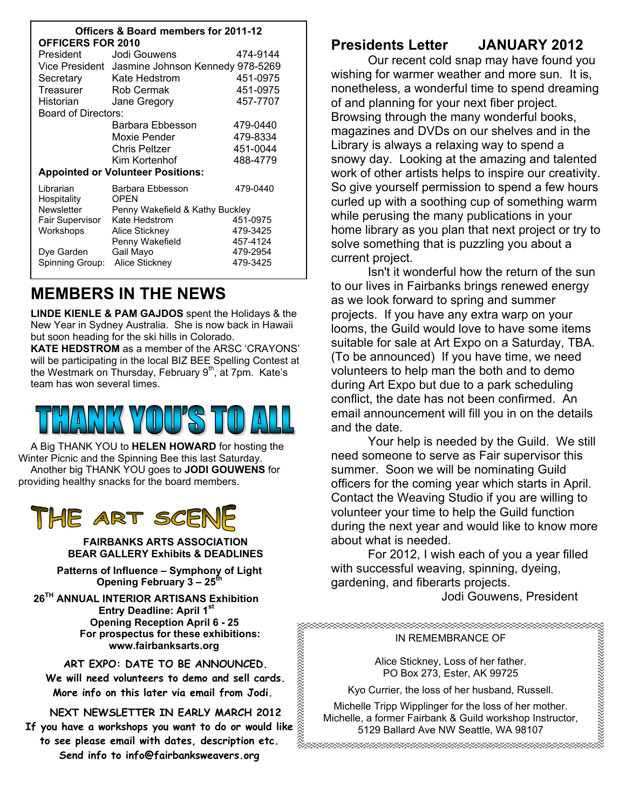| <b>Officers &amp; Board members for 2011-12</b><br><b>OFFICERS FOR 2010</b> |                                                 |          |
|-----------------------------------------------------------------------------|-------------------------------------------------|----------|
| President                                                                   | Jodi Gouwens                                    | 474-9144 |
|                                                                             | Vice President Jasmine Johnson Kennedy 978-5269 |          |
| Secretary                                                                   | Kate Hedstrom                                   | 451-0975 |
| Treasurer                                                                   | <b>Rob Cermak</b>                               | 451-0975 |
| Historian                                                                   | Jane Gregory                                    | 457-7707 |
| Board of Directors:                                                         |                                                 |          |
|                                                                             | Barbara Ebbesson                                | 479-0440 |
|                                                                             | Moxie Pender                                    | 479-8334 |
|                                                                             | Chris Peltzer                                   | 451-0044 |
|                                                                             | Kim Kortenhof                                   | 488-4779 |
| <b>Appointed or Volunteer Positions:</b>                                    |                                                 |          |
| Librarian                                                                   | Barbara Ebbesson                                | 479-0440 |
| Hospitality                                                                 | <b>OPEN</b>                                     |          |
| <b>Newsletter</b>                                                           | Penny Wakefield & Kathy Buckley                 |          |
| Fair Supervisor                                                             | Kate Hedstrom                                   | 451-0975 |
| Workshops                                                                   | Alice Stickney                                  | 479-3425 |
|                                                                             | Penny Wakefield                                 | 457-4124 |
| Dye Garden                                                                  | Gail Mayo                                       | 479-2954 |
| Spinning Group:                                                             | Alice Stickney                                  | 479-3425 |

### **MEMBERS IN THE NEWS**

**LINDE KIENLE & PAM GAJDOS** spent the Holidays & the New Year in Sydney Australia. She is now back in Hawaii but soon heading for the ski hills in Colorado.

**KATE HEDSTROM** as a member of the ARSC 'CRAYONS' will be participating in the local BIZ BEE Spelling Contest at the Westmark on Thursday, February 9<sup>th</sup>, at 7pm. Kate's team has won several times.

A Big THANK YOU to **HELEN HOWARD** for hosting the Winter Picnic and the Spinning Bee this last Saturday. Another big THANK YOU goes to **JODI GOUWENS** for providing healthy snacks for the board members.

### THE ART SC

**FAIRBANKS ARTS ASSOCIATION BEAR GALLERY Exhibits & DEADLINES** 

**Patterns of Influence – Symphony of Light Opening February 3 – 25th** 

 **26TH ANNUAL INTERIOR ARTISANS Exhibition Entry Deadline: April 1st Opening Reception April 6 - 25 For prospectus for these exhibitions: www.fairbanksarts.org** 

**ART EXPO: DATE TO BE ANNOUNCED.** 

**We will need volunteers to demo and sell cards. More info on this later via email from Jodi.** 

**NEXT NEWSLETTER IN EARLY MARCH 2012** 

**If you have a workshops you want to do or would like to see please email with dates, description etc. Send info to info@fairbanksweavers.org** 

#### **Presidents Letter JANUARY 2012**

 Our recent cold snap may have found you wishing for warmer weather and more sun. It is, nonetheless, a wonderful time to spend dreaming of and planning for your next fiber project. Browsing through the many wonderful books, magazines and DVDs on our shelves and in the Library is always a relaxing way to spend a snowy day. Looking at the amazing and talented work of other artists helps to inspire our creativity. So give yourself permission to spend a few hours curled up with a soothing cup of something warm while perusing the many publications in your home library as you plan that next project or try to solve something that is puzzling you about a current project.

 Isn't it wonderful how the return of the sun to our lives in Fairbanks brings renewed energy as we look forward to spring and summer projects. If you have any extra warp on your looms, the Guild would love to have some items suitable for sale at Art Expo on a Saturday, TBA. (To be announced) If you have time, we need volunteers to help man the both and to demo during Art Expo but due to a park scheduling conflict, the date has not been confirmed. An email announcement will fill you in on the details and the date.

 Your help is needed by the Guild. We still need someone to serve as Fair supervisor this summer. Soon we will be nominating Guild officers for the coming year which starts in April. Contact the Weaving Studio if you are willing to volunteer your time to help the Guild function during the next year and would like to know more about what is needed.

 For 2012, I wish each of you a year filled with successful weaving, spinning, dyeing, gardening, and fiberarts projects.

Jodi Gouwens, President

n<br>hannomaanaanaanaanaanaan

#### IN REMEMBRANCE OF

Alice Stickney, Loss of her father. PO Box 273, Ester, AK 99725

Kyo Currier, the loss of her husband, Russell.

Michelle Tripp Wipplinger for the loss of her mother. Michelle, a former Fairbank & Guild workshop Instructor, 5129 Ballard Ave NW Seattle, WA 98107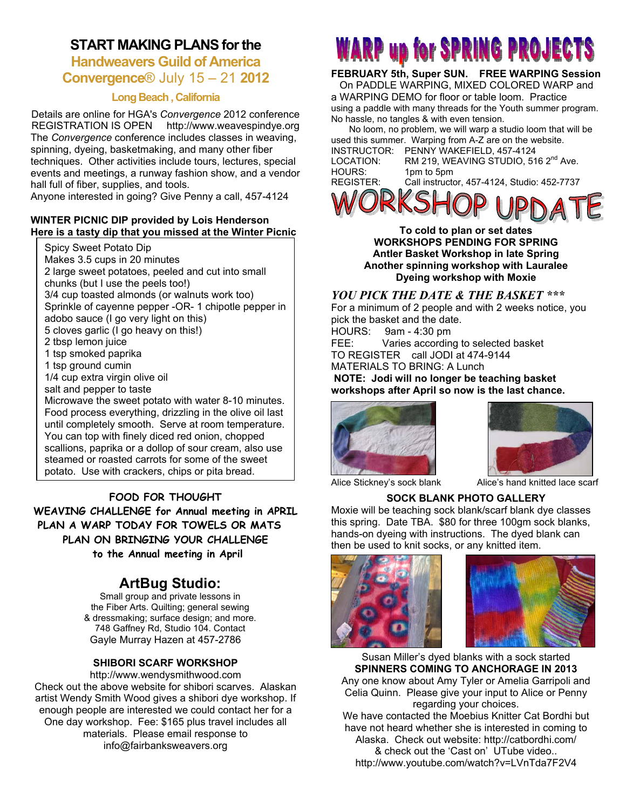#### **START MAKING PLANS for the**

#### **Handweavers Guild of America Convergence**® July 15 – 21 **2012**

#### **Long Beach , California**

Details are online for HGA's *Convergence* 2012 conference REGISTRATION IS OPEN http://www.weavespindye.org The *Convergence* conference includes classes in weaving, spinning, dyeing, basketmaking, and many other fiber techniques. Other activities include tours, lectures, special events and meetings, a runway fashion show, and a vendor hall full of fiber, supplies, and tools.

Anyone interested in going? Give Penny a call, 457-4124

#### **WINTER PICNIC DIP provided by Lois Henderson Here is a tasty dip that you missed at the Winter Picnic**

Spicy Sweet Potato Dip Makes 3.5 cups in 20 minutes 2 large sweet potatoes, peeled and cut into small chunks (but I use the peels too!) 3/4 cup toasted almonds (or walnuts work too) Sprinkle of cayenne pepper -OR- 1 chipotle pepper in adobo sauce (I go very light on this) 5 cloves garlic (I go heavy on this!) 2 tbsp lemon juice 1 tsp smoked paprika 1 tsp ground cumin 1/4 cup extra virgin olive oil salt and pepper to taste Microwave the sweet potato with water 8-10 minutes. Food process everything, drizzling in the olive oil last until completely smooth. Serve at room temperature. You can top with finely diced red onion, chopped scallions, paprika or a dollop of sour cream, also use steamed or roasted carrots for some of the sweet potato. Use with crackers, chips or pita bread.

**FOOD FOR THOUGHT WEAVING CHALLENGE for Annual meeting in APRIL PLAN A WARP TODAY FOR TOWELS OR MATS PLAN ON BRINGING YOUR CHALLENGE to the Annual meeting in April** 

#### **ArtBug Studio:**

Small group and private lessons in the Fiber Arts. Quilting; general sewing & dressmaking; surface design; and more. 748 Gaffney Rd, Studio 104. Contact Gayle Murray Hazen at 457-2786

#### **SHIBORI SCARF WORKSHOP**

http://www.wendysmithwood.com Check out the above website for shibori scarves. Alaskan artist Wendy Smith Wood gives a shibori dye workshop. If enough people are interested we could contact her for a One day workshop. Fee: \$165 plus travel includes all materials. Please email response to info@fairbanksweavers.org

## **WARP up for SPRING PROJECTS**

#### **FEBRUARY 5th, Super SUN. FREE WARPING Session**

 On PADDLE WARPING, MIXED COLORED WARP and a WARPING DEMO for floor or table loom. Practice using a paddle with many threads for the Youth summer program. No hassle, no tangles & with even tension.

 No loom, no problem, we will warp a studio loom that will be used this summer. Warping from A-Z are on the website. INSTRUCTOR: PENNY WAKEFIELD, 457-4124 LOCATION: RM 219, WEAVING STUDIO, 516 2<sup>nd</sup> Ave. HOURS: 1pm to 5pm<br>REGISTER: Call instructo Call instructor, 457-4124, Studio: 452-7737



**To cold to plan or set dates WORKSHOPS PENDING FOR SPRING Antler Basket Workshop in late Spring Another spinning workshop with Lauralee Dyeing workshop with Moxie** 

#### *YOU PICK THE DATE & THE BASKET \*\*\**

For a minimum of 2 people and with 2 weeks notice, you pick the basket and the date. HOURS: 9am - 4:30 pm FEE: Varies according to selected basket

TO REGISTER call JODI at 474-9144

MATERIALS TO BRING: A Lunch

 **NOTE: Jodi will no longer be teaching basket workshops after April so now is the last chance.** 





Alice Stickney's sock blank Alice's hand knitted lace scarf

#### **SOCK BLANK PHOTO GALLERY**

Moxie will be teaching sock blank/scarf blank dye classes this spring. Date TBA. \$80 for three 100gm sock blanks, hands-on dyeing with instructions. The dyed blank can then be used to knit socks, or any knitted item.





Susan Miller's dyed blanks with a sock started **SPINNERS COMING TO ANCHORAGE IN 2013**  Any one know about Amy Tyler or Amelia Garripoli and Celia Quinn. Please give your input to Alice or Penny regarding your choices. We have contacted the Moebius Knitter Cat Bordhi but have not heard whether she is interested in coming to Alaska. Check out website: http://catbordhi.com/ & check out the 'Cast on' UTube video..

http://www.youtube.com/watch?v=LVnTda7F2V4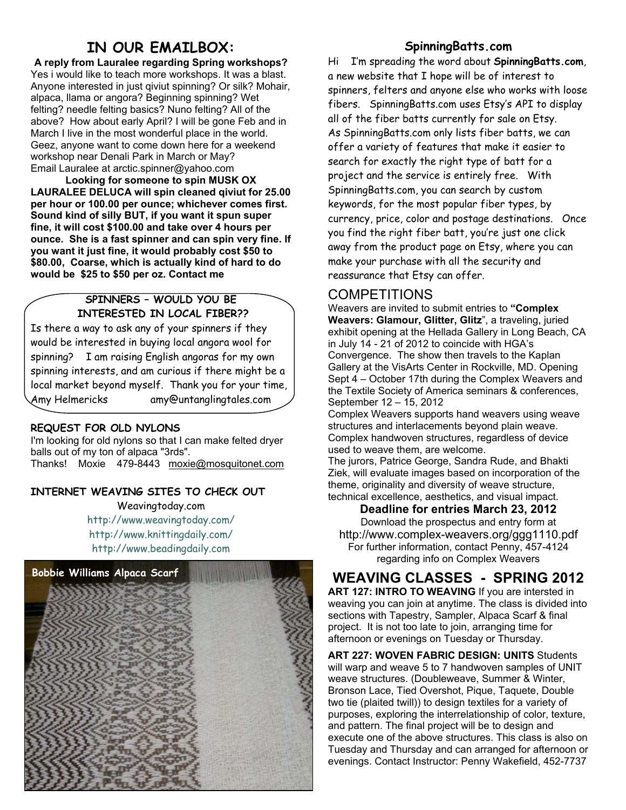#### **IN OUR EMAILBOX:**

**A reply from Lauralee regarding Spring workshops?**  Yes i would like to teach more workshops. It was a blast. Anyone interested in just qiviut spinning? Or silk? Mohair, alpaca, llama or angora? Beginning spinning? Wet felting? needle felting basics? Nuno felting? All of the above? How about early April? I will be gone Feb and in March I live in the most wonderful place in the world. Geez, anyone want to come down here for a weekend workshop near Denali Park in March or May? Email Lauralee at arctic.spinner@yahoo.com

**Looking for someone to spin MUSK OX LAURALEE DELUCA will spin cleaned qiviut for 25.00 per hour or 100.00 per ounce; whichever comes first. Sound kind of silly BUT, if you want it spun super fine, it will cost \$100.00 and take over 4 hours per ounce. She is a fast spinner and can spin very fine. If you want it just fine, it would probably cost \$50 to \$80.00, Coarse, which is actually kind of hard to do would be \$25 to \$50 per oz. Contact me** 

#### **SPINNERS – WOULD YOU BE INTERESTED IN LOCAL FIBER??**

Is there a way to ask any of your spinners if they would be interested in buying local angora wool for spinning? I am raising English angoras for my own spinning interests, and am curious if there might be a local market beyond myself. Thank you for your time, Amy Helmericks amy@untanglingtales.com

#### **REQUEST FOR OLD NYLONS**

I'm looking for old nylons so that I can make felted dryer balls out of my ton of alpaca "3rds". Thanks! Moxie 479-8443 moxie@mosquitonet.com

#### **INTERNET WEAVING SITES TO CHECK OUT**

Weavingtoday.com http://www.weavingtoday.com/ http://www.knittingdaily.com/ http://www.beadingdaily.com



#### **SpinningBatts.com**

Hi I'm spreading the word about **SpinningBatts.com**, a new website that I hope will be of interest to spinners, felters and anyone else who works with loose fibers. SpinningBatts.com uses Etsy's API to display all of the fiber batts currently for sale on Etsy. As SpinningBatts.com only lists fiber batts, we can offer a variety of features that make it easier to search for exactly the right type of batt for a project and the service is entirely free. With SpinningBatts.com, you can search by custom keywords, for the most popular fiber types, by currency, price, color and postage destinations. Once you find the right fiber batt, you're just one click away from the product page on Etsy, where you can make your purchase with all the security and reassurance that Etsy can offer.

#### COMPETITIONS

Weavers are invited to submit entries to **"Complex Weavers: Glamour, Glitter, Glitz**", a traveling, juried exhibit opening at the Hellada Gallery in Long Beach, CA in July 14 - 21 of 2012 to coincide with HGA's Convergence. The show then travels to the Kaplan Gallery at the VisArts Center in Rockville, MD. Opening Sept 4 – October 17th during the Complex Weavers and the Textile Society of America seminars & conferences, September 12 – 15, 2012

Complex Weavers supports hand weavers using weave structures and interlacements beyond plain weave. Complex handwoven structures, regardless of device used to weave them, are welcome.

The jurors, Patrice George, Sandra Rude, and Bhakti Ziek, will evaluate images based on incorporation of the theme, originality and diversity of weave structure, technical excellence, aesthetics, and visual impact.

**Deadline for entries March 23, 2012** 

Download the prospectus and entry form at http://www.complex-weavers.org/ggg1110.pdf For further information, contact Penny, 457-4124 regarding info on Complex Weavers

#### **WEAVING CLASSES - SPRING 2012**

**ART 127: INTRO TO WEAVING** If you are intersted in weaving you can join at anytime. The class is divided into sections with Tapestry, Sampler, Alpaca Scarf & final project. It is not too late to join, arranging time for afternoon or evenings on Tuesday or Thursday.

**ART 227: WOVEN FABRIC DESIGN: UNITS** Students will warp and weave 5 to 7 handwoven samples of UNIT weave structures. (Doubleweave, Summer & Winter, Bronson Lace, Tied Overshot, Pique, Taquete, Double two tie (plaited twill)) to design textiles for a variety of purposes, exploring the interrelationship of color, texture, and pattern. The final project will be to design and execute one of the above structures. This class is also on Tuesday and Thursday and can arranged for afternoon or evenings. Contact Instructor: Penny Wakefield, 452-7737